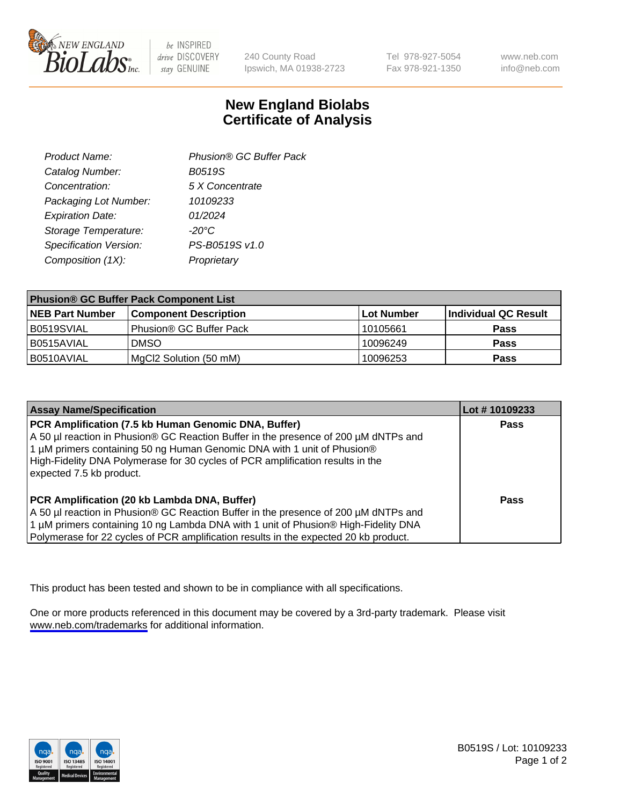

be INSPIRED drive DISCOVERY stay GENUINE

240 County Road Ipswich, MA 01938-2723 Tel 978-927-5054 Fax 978-921-1350

www.neb.com info@neb.com

## **New England Biolabs Certificate of Analysis**

| Product Name:           | Phusion® GC Buffer Pack |
|-------------------------|-------------------------|
| Catalog Number:         | B0519S                  |
| Concentration:          | 5 X Concentrate         |
| Packaging Lot Number:   | 10109233                |
| <b>Expiration Date:</b> | 01/2024                 |
| Storage Temperature:    | $-20^{\circ}$ C         |
| Specification Version:  | PS-B0519S v1.0          |
| Composition (1X):       | Proprietary             |
|                         |                         |

| <b>Phusion® GC Buffer Pack Component List</b> |                              |             |                      |  |
|-----------------------------------------------|------------------------------|-------------|----------------------|--|
| <b>NEB Part Number</b>                        | <b>Component Description</b> | ∣Lot Number | Individual QC Result |  |
| B0519SVIAL                                    | Phusion® GC Buffer Pack      | 10105661    | <b>Pass</b>          |  |
| B0515AVIAL                                    | <b>DMSO</b>                  | 10096249    | <b>Pass</b>          |  |
| B0510AVIAL                                    | MgCl2 Solution (50 mM)       | 10096253    | <b>Pass</b>          |  |

| <b>Assay Name/Specification</b>                                                                                                                                                                                                                                                                                                      | Lot #10109233 |
|--------------------------------------------------------------------------------------------------------------------------------------------------------------------------------------------------------------------------------------------------------------------------------------------------------------------------------------|---------------|
| PCR Amplification (7.5 kb Human Genomic DNA, Buffer)<br>A 50 µl reaction in Phusion® GC Reaction Buffer in the presence of 200 µM dNTPs and<br>1 µM primers containing 50 ng Human Genomic DNA with 1 unit of Phusion®<br>High-Fidelity DNA Polymerase for 30 cycles of PCR amplification results in the<br>expected 7.5 kb product. | <b>Pass</b>   |
| PCR Amplification (20 kb Lambda DNA, Buffer)<br>A 50 µl reaction in Phusion® GC Reaction Buffer in the presence of 200 µM dNTPs and<br>1 μM primers containing 10 ng Lambda DNA with 1 unit of Phusion® High-Fidelity DNA<br>Polymerase for 22 cycles of PCR amplification results in the expected 20 kb product.                    | Pass          |

This product has been tested and shown to be in compliance with all specifications.

One or more products referenced in this document may be covered by a 3rd-party trademark. Please visit <www.neb.com/trademarks>for additional information.